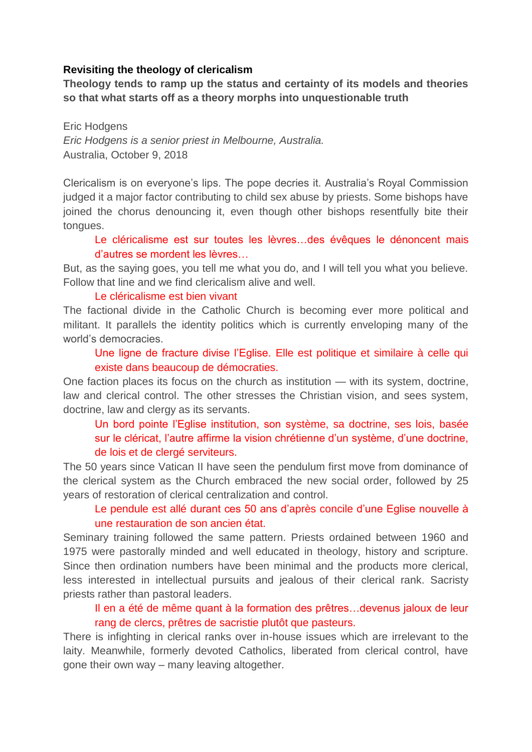#### **Revisiting the theology of clericalism**

**Theology tends to ramp up the status and certainty of its models and theories so that what starts off as a theory morphs into unquestionable truth** 

Eric Hodgens *Eric Hodgens is a senior priest in Melbourne, Australia.* Australia, October 9, 2018

Clericalism is on everyone's lips. The pope decries it. Australia's Royal Commission judged it a major factor contributing to child sex abuse by priests. Some bishops have joined the chorus denouncing it, even though other bishops resentfully bite their tongues.

Le cléricalisme est sur toutes les lèvres...des évêques le dénoncent mais d'autres se mordent les lèvres…

But, as the saying goes, you tell me what you do, and I will tell you what you believe. Follow that line and we find clericalism alive and well.

#### Le cléricalisme est bien vivant

The factional divide in the Catholic Church is becoming ever more political and militant. It parallels the identity politics which is currently enveloping many of the world's democracies.

Une ligne de fracture divise l'Eglise. Elle est politique et similaire à celle qui existe dans beaucoup de démocraties.

One faction places its focus on the church as institution — with its system, doctrine, law and clerical control. The other stresses the Christian vision, and sees system, doctrine, law and clergy as its servants.

Un bord pointe l'Eglise institution, son système, sa doctrine, ses lois, basée sur le cléricat, l'autre affirme la vision chrétienne d'un système, d'une doctrine, de lois et de clergé serviteurs.

The 50 years since Vatican II have seen the pendulum first move from dominance of the clerical system as the Church embraced the new social order, followed by 25 years of restoration of clerical centralization and control.

# Le pendule est allé durant ces 50 ans d'après concile d'une Eglise nouvelle à une restauration de son ancien état.

Seminary training followed the same pattern. Priests ordained between 1960 and 1975 were pastorally minded and well educated in theology, history and scripture. Since then ordination numbers have been minimal and the products more clerical, less interested in intellectual pursuits and jealous of their clerical rank. Sacristy priests rather than pastoral leaders.

# Il en a été de même quant à la formation des prêtres…devenus jaloux de leur rang de clercs, prêtres de sacristie plutôt que pasteurs.

There is infighting in clerical ranks over in-house issues which are irrelevant to the laity. Meanwhile, formerly devoted Catholics, liberated from clerical control, have gone their own way – many leaving altogether.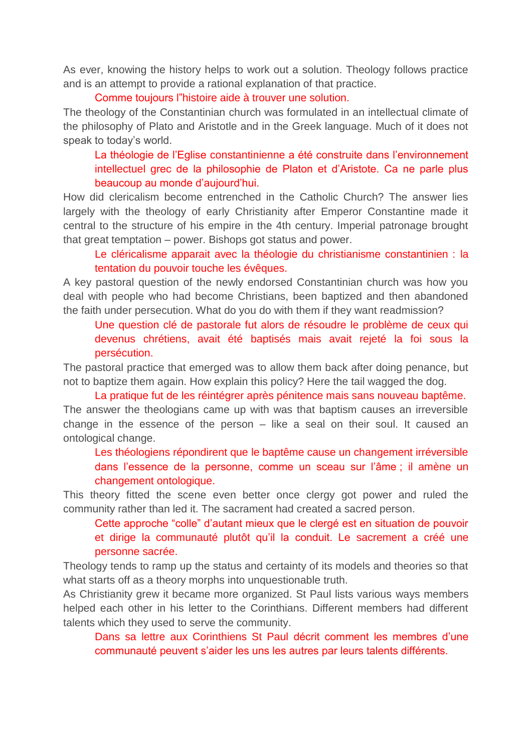As ever, knowing the history helps to work out a solution. Theology follows practice and is an attempt to provide a rational explanation of that practice.

Comme toujours l"histoire aide à trouver une solution.

The theology of the Constantinian church was formulated in an intellectual climate of the philosophy of Plato and Aristotle and in the Greek language. Much of it does not speak to today's world.

La théologie de l'Eglise constantinienne a été construite dans l'environnement intellectuel grec de la philosophie de Platon et d'Aristote. Ca ne parle plus beaucoup au monde d'aujourd'hui.

How did clericalism become entrenched in the Catholic Church? The answer lies largely with the theology of early Christianity after Emperor Constantine made it central to the structure of his empire in the 4th century. Imperial patronage brought that great temptation – power. Bishops got status and power.

Le cléricalisme apparait avec la théologie du christianisme constantinien : la tentation du pouvoir touche les évêques.

A key pastoral question of the newly endorsed Constantinian church was how you deal with people who had become Christians, been baptized and then abandoned the faith under persecution. What do you do with them if they want readmission?

Une question clé de pastorale fut alors de résoudre le problème de ceux qui devenus chrétiens, avait été baptisés mais avait rejeté la foi sous la persécution.

The pastoral practice that emerged was to allow them back after doing penance, but not to baptize them again. How explain this policy? Here the tail wagged the dog.

La pratique fut de les réintégrer après pénitence mais sans nouveau baptême. The answer the theologians came up with was that baptism causes an irreversible change in the essence of the person – like a seal on their soul. It caused an ontological change.

Les théologiens répondirent que le baptême cause un changement irréversible dans l'essence de la personne, comme un sceau sur l'âme ; il amène un changement ontologique.

This theory fitted the scene even better once clergy got power and ruled the community rather than led it. The sacrament had created a sacred person.

Cette approche "colle" d'autant mieux que le clergé est en situation de pouvoir et dirige la communauté plutôt qu'il la conduit. Le sacrement a créé une personne sacrée.

Theology tends to ramp up the status and certainty of its models and theories so that what starts off as a theory morphs into unquestionable truth.

As Christianity grew it became more organized. St Paul lists various ways members helped each other in his letter to the Corinthians. Different members had different talents which they used to serve the community.

Dans sa lettre aux Corinthiens St Paul décrit comment les membres d'une communauté peuvent s'aider les uns les autres par leurs talents différents.